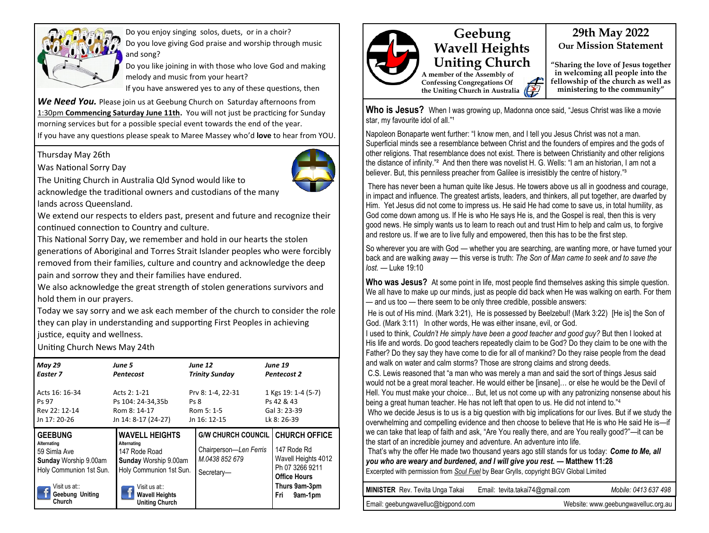

Do you enjoy singing solos, duets, or in a choir? Do you love giving God praise and worship through music and song?

Do you like joining in with those who love God and making melody and music from your heart?

If you have answered yes to any of these questions, then

**We Need You.** Please join us at Geebung Church on Saturday afternoons from 1:30pm **Commencing Saturday June 11th.** You will not just be practicing for Sunday morning services but for a possible special event towards the end of the year.

If you have any questions please speak to Maree Massey who'd **love** to hear from YOU.

### Thursday May 26th

Was National Sorry Day



The Uniting Church in Australia Qld Synod would like to acknowledge the traditional owners and custodians of the many lands across Queensland.

We extend our respects to elders past, present and future and recognize their continued connection to Country and culture.

This National Sorry Day, we remember and hold in our hearts the stolen generations of Aboriginal and Torres Strait Islander peoples who were forcibly removed from their families, culture and country and acknowledge the deep pain and sorrow they and their families have endured.

We also acknowledge the great strength of stolen generations survivors and hold them in our prayers.

Today we say sorry and we ask each member of the church to consider the role they can play in understanding and supporting First Peoples in achieving justice, equity and wellness.

Uniting Church News May 24th

| <b>May 29</b>                                                                                                                                         | June 5                                                                                                                                                                             | <b>June 12</b>                                                                      | <b>June 19</b>                                                                                                                          |
|-------------------------------------------------------------------------------------------------------------------------------------------------------|------------------------------------------------------------------------------------------------------------------------------------------------------------------------------------|-------------------------------------------------------------------------------------|-----------------------------------------------------------------------------------------------------------------------------------------|
| Easter 7                                                                                                                                              | Pentecost                                                                                                                                                                          | <b>Trinity Sunday</b>                                                               | <b>Pentecost 2</b>                                                                                                                      |
| Acts 16: 16-34                                                                                                                                        | Acts 2: 1-21                                                                                                                                                                       | Prv 8: 1-4, 22-31                                                                   | 1 Kgs 19: 1-4 (5-7)                                                                                                                     |
| Ps 97                                                                                                                                                 | Ps 104: 24-34,35b                                                                                                                                                                  | Ps 8                                                                                | Ps 42 & 43                                                                                                                              |
| Rev 22: 12-14                                                                                                                                         | Rom 8: 14-17                                                                                                                                                                       | Rom 5: 1-5                                                                          | Gal 3: 23-39                                                                                                                            |
| Jn 17: 20-26                                                                                                                                          | Jn 14: 8-17 (24-27)                                                                                                                                                                | Jn 16: 12-15                                                                        | Lk 8: 26-39                                                                                                                             |
| <b>GEEBUNG</b><br>Alternating<br>59 Simla Ave<br><b>Sunday Worship 9.00am</b><br>Holy Communion 1st Sun.<br>Visit us at∷<br>Geebung Uniting<br>Church | <b>WAVELL HEIGHTS</b><br>Alternating<br>147 Rode Road<br><b>Sunday Worship 9.00am</b><br>Holy Communion 1st Sun.<br>Visit us at∷<br><b>Wavell Heights</b><br><b>Uniting Church</b> | <b>G/W CHURCH COUNCIL</b><br>Chairperson-Len Ferris<br>M.0438 852 679<br>Secretary- | <b>CHURCH OFFICE</b><br>147 Rode Rd<br>Wavell Heights 4012<br>Ph 07 3266 9211<br><b>Office Hours</b><br>Thurs 9am-3pm<br>Fri<br>9am-1pm |



**Wavell Heights Uniting Church**<br>A member of the Assembly of **A member of the Assembly of Confessing Congregations Of the Uniting Church in Australia**

**Geebung** 

# **29th May 2022 Our Mission Statement**

**"Sharing the love of Jesus together in welcoming all people into the fellowship of the church as well as ministering to the community"**

**Who is Jesus?** When I was growing up, Madonna once said, "Jesus Christ was like a movie star, my favourite idol of all."<sup>1</sup>

Napoleon Bonaparte went further: "I know men, and I tell you Jesus Christ was not a man. Superficial minds see a resemblance between Christ and the founders of empires and the gods of other religions. That resemblance does not exist. There is between Christianity and other religions the distance of infinity."² And then there was novelist H. G. Wells: "I am an historian, I am not a believer. But, this penniless preacher from Galilee is irresistibly the centre of history."<sup>3</sup>

There has never been a human quite like Jesus. He towers above us all in goodness and courage, in impact and influence. The greatest artists, leaders, and thinkers, all put together, are dwarfed by Him. Yet Jesus did not come to impress us. He said He had come to save us, in total humility, as God come down among us. If He is who He says He is, and the Gospel is real, then this is very good news. He simply wants us to learn to reach out and trust Him to help and calm us, to forgive and restore us. If we are to live fully and empowered, then this has to be the first step.

So wherever you are with God — whether you are searching, are wanting more, or have turned your back and are walking away — this verse is truth: *The Son of Man came to seek and to save the lost.* — Luke 19:10

**Who was Jesus?** At some point in life, most people find themselves asking this simple question. We all have to make up our minds, just as people did back when He was walking on earth. For them — and us too — there seem to be only three credible, possible answers:

He is out of His mind. (Mark 3:21), He is possessed by Beelzebul! (Mark 3:22) [He is] the Son of God. (Mark 3:11) In other words, He was either insane, evil, or God.

I used to think, *Couldn't He simply have been a good teacher and good guy?* But then I looked at His life and words. Do good teachers repeatedly claim to be God? Do they claim to be one with the Father? Do they say they have come to die for all of mankind? Do they raise people from the dead and walk on water and calm storms? Those are strong claims and strong deeds.

C.S. Lewis reasoned that "a man who was merely a man and said the sort of things Jesus said would not be a great moral teacher. He would either be [insane]… or else he would be the Devil of Hell. You must make your choice… But, let us not come up with any patronizing nonsense about his being a great human teacher. He has not left that open to us. He did not intend to."<sup>4</sup>

Who we decide Jesus is to us is a big question with big implications for our lives. But if we study the overwhelming and compelling evidence and then choose to believe that He is who He said He is—if we can take that leap of faith and ask, "Are You really there, and are You really good?"—it can be the start of an incredible journey and adventure. An adventure into life.

That's why the offer He made two thousand years ago still stands for us today: *Come to Me, all you who are weary and burdened, and I will give you rest.* **— Matthew 11:28** Excerpted with permission from *[Soul Fuel](https://link.faithgateway.com/click/27820536.51559/aHR0cHM6Ly9zdG9yZS5mYWl0aGdhdGV3YXkuY29tL3Byb2R1Y3RzL3NvdWwtZnVlbC1hLWRhaWx5LWRldm90aW9uYWw_dXRtX3NvdXJjZT1kZXZvc2RhaWx5JnV0bV9tZWRpdW09ZW1haWwmdXRtX2NhbXBhaWduPWRldm9zZGFpbHlfMjAyMjA1MjUmdXRtX3Rlcm09MjAyMjA1)* by Bear Grylls, copyright BGV Global Limited

| MINISTER Rev. Tevita Unga Takai    | Email: tevita.takai74@gmail.com | Mobile: 0413 637 498                |
|------------------------------------|---------------------------------|-------------------------------------|
| Email: geebungwavelluc@bigpond.com |                                 | Website: www.geebungwavelluc.org.au |